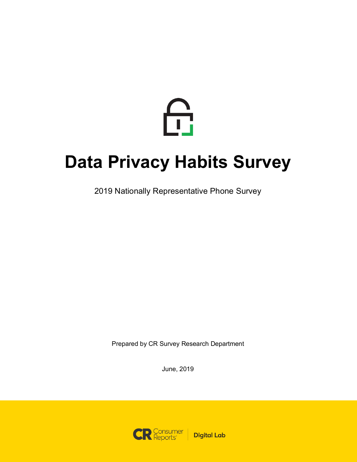

# **Data Privacy Habits Survey**

2019 Nationally Representative Phone Survey

Prepared by CR Survey Research Department

June, 2019

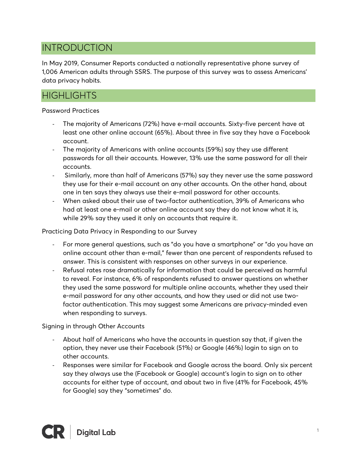# INTRODUCTION

In May 2019, Consumer Reports conducted a nationally representative phone survey of 1,006 American adults through SSRS. The purpose of this survey was to assess Americans' data privacy habits.

# **HIGHLIGHTS**

## Password Practices

- The majority of Americans (72%) have e-mail accounts. Sixty-five percent have at least one other online account (65%). About three in five say they have a Facebook account.
- The majority of Americans with online accounts (59%) say they use different passwords for all their accounts. However, 13% use the same password for all their accounts.
- Similarly, more than half of Americans (57%) say they never use the same password they use for their e-mail account on any other accounts. On the other hand, about one in ten says they always use their e-mail password for other accounts.
- When asked about their use of two-factor authentication, 39% of Americans who had at least one e-mail or other online account say they do not know what it is, while 29% say they used it only on accounts that require it.

Practicing Data Privacy in Responding to our Survey

- For more general questions, such as "do you have a smartphone" or "do you have an online account other than e-mail," fewer than one percent of respondents refused to answer. This is consistent with responses on other surveys in our experience.
- Refusal rates rose dramatically for information that could be perceived as harmful to reveal. For instance, 6% of respondents refused to answer questions on whether they used the same password for multiple online accounts, whether they used their e-mail password for any other accounts, and how they used or did not use twofactor authentication. This may suggest some Americans are privacy-minded even when responding to surveys.

Signing in through Other Accounts

- About half of Americans who have the accounts in question say that, if given the option, they never use their Facebook (51%) or Google (46%) login to sign on to other accounts.
- Responses were similar for Facebook and Google across the board. Only six percent say they always use the (Facebook or Google) account's login to sign on to other accounts for either type of account, and about two in five (41% for Facebook, 45% for Google) say they "sometimes" do.

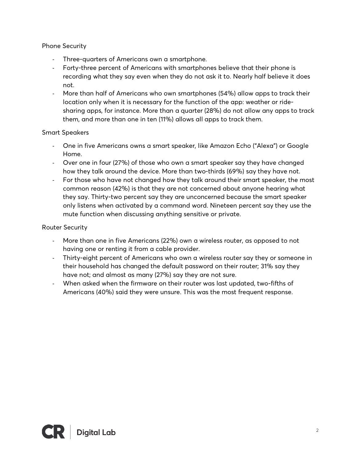## Phone Security

- Three-quarters of Americans own a smartphone.
- Forty-three percent of Americans with smartphones believe that their phone is recording what they say even when they do not ask it to. Nearly half believe it does not.
- More than half of Americans who own smartphones (54%) allow apps to track their location only when it is necessary for the function of the app: weather or ridesharing apps, for instance. More than a quarter (28%) do not allow any apps to track them, and more than one in ten (11%) allows all apps to track them.

## Smart Speakers

- One in five Americans owns a smart speaker, like Amazon Echo ("Alexa") or Google Home.
- Over one in four (27%) of those who own a smart speaker say they have changed how they talk around the device. More than two-thirds (69%) say they have not.
- For those who have not changed how they talk around their smart speaker, the most common reason (42%) is that they are not concerned about anyone hearing what they say. Thirty-two percent say they are unconcerned because the smart speaker only listens when activated by a command word. Nineteen percent say they use the mute function when discussing anything sensitive or private.

## Router Security

- More than one in five Americans (22%) own a wireless router, as opposed to not having one or renting it from a cable provider.
- Thirty-eight percent of Americans who own a wireless router say they or someone in their household has changed the default password on their router; 31% say they have not; and almost as many (27%) say they are not sure.
- When asked when the firmware on their router was last updated, two-fifths of Americans (40%) said they were unsure. This was the most frequent response.

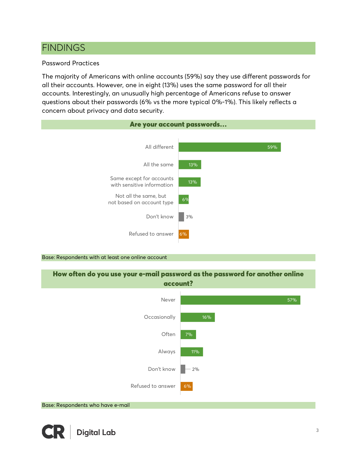# FINDINGS

## Password Practices

The majority of Americans with online accounts (59%) say they use different passwords for all their accounts. However, one in eight (13%) uses the same password for all their accounts. Interestingly, an unusually high percentage of Americans refuse to answer questions about their passwords (6% vs the more typical 0%-1%). This likely reflects a concern about privacy and data security.

| Are your account passwords                             |     |
|--------------------------------------------------------|-----|
|                                                        |     |
| All different                                          | 59% |
| All the same                                           | 13% |
| Same except for accounts<br>with sensitive information | 13% |
| Not all the same, but<br>not based on account type     | 6%  |
| Don't know                                             | 3%  |
| Refused to answer                                      | 6%  |
|                                                        |     |

#### Base: Respondents with at least one online account

How often do you use your e-mail password as the password for another online account?

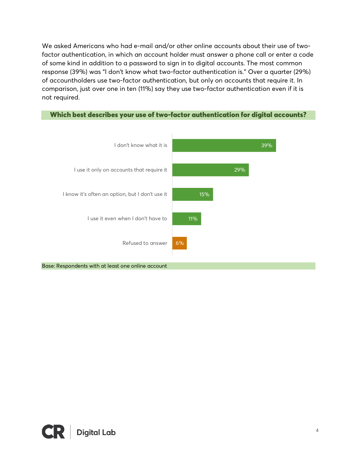We asked Americans who had e-mail and/or other online accounts about their use of twofactor authentication, in which an account holder must answer a phone call or enter a code of some kind in addition to a password to sign in to digital accounts. The most common response (39%) was "I don't know what two-factor authentication is." Over a quarter (29%) of accountholders use two-factor authentication, but only on accounts that require it. In comparison, just over one in ten (11%) say they use two-factor authentication even if it is not required.

## Which best describes your use of two-factor authentication for digital accounts?



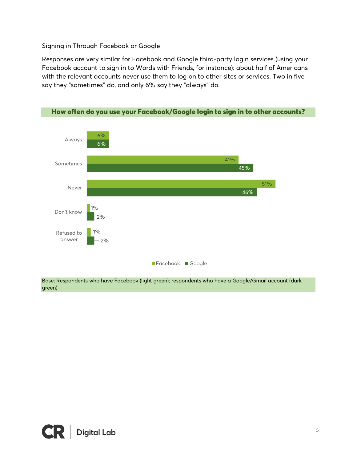## Signing in Through Facebook or Google

Responses are very similar for Facebook and Google third-party login services (using your Facebook account to sign in to Words with Friends, for instance): about half of Americans with the relevant accounts never use them to log on to other sites or services. Two in five say they "sometimes" do, and only 6% say they "always" do.



Base: Respondents who have Facebook (light green); respondents who have a Google/Gmail account (dark green)

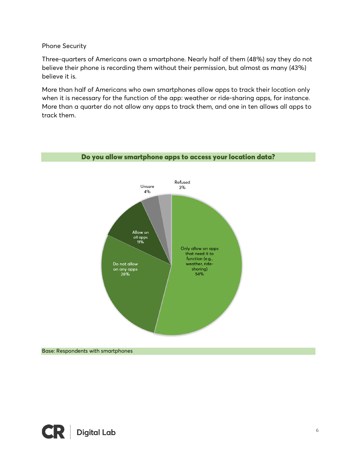## Phone Security

Three-quarters of Americans own a smartphone. Nearly half of them (48%) say they do not believe their phone is recording them without their permission, but almost as many (43%) believe it is.

More than half of Americans who own smartphones allow apps to track their location only when it is necessary for the function of the app: weather or ride-sharing apps, for instance. More than a quarter do not allow any apps to track them, and one in ten allows all apps to track them.



#### Do you allow smartphone apps to access your location data?

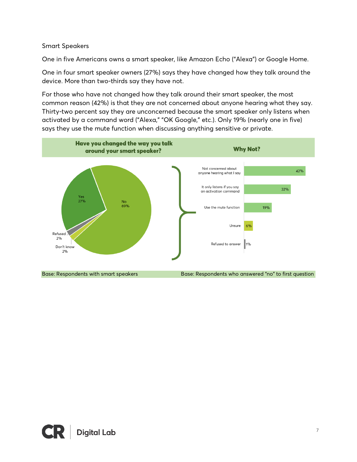## Smart Speakers

One in five Americans owns a smart speaker, like Amazon Echo ("Alexa") or Google Home.

One in four smart speaker owners (27%) says they have changed how they talk around the device. More than two-thirds say they have not.

For those who have not changed how they talk around their smart speaker, the most common reason (42%) is that they are not concerned about anyone hearing what they say. Thirty-two percent say they are unconcerned because the smart speaker only listens when activated by a command word ("Alexa," "OK Google," etc.). Only 19% (nearly one in five) says they use the mute function when discussing anything sensitive or private.



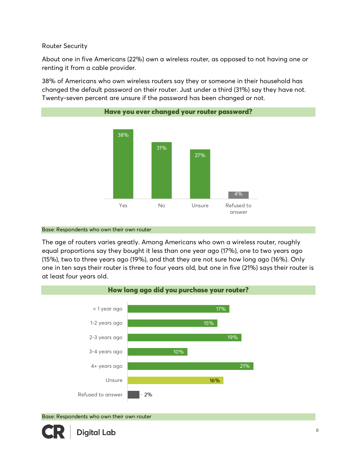## Router Security

About one in five Americans (22%) own a wireless router, as opposed to not having one or renting it from a cable provider.

38% of Americans who own wireless routers say they or someone in their household has changed the default password on their router. Just under a third (31%) say they have not. Twenty-seven percent are unsure if the password has been changed or not.





#### Base: Respondents who own their own router

The age of routers varies greatly. Among Americans who own a wireless router, roughly equal proportions say they bought it less than one year ago (17%), one to two years ago (15%), two to three years ago (19%), and that they are not sure how long ago (16%). Only one in ten says their router is three to four years old, but one in five (21%) says their router is at least four years old.



Base: Respondents who own their own router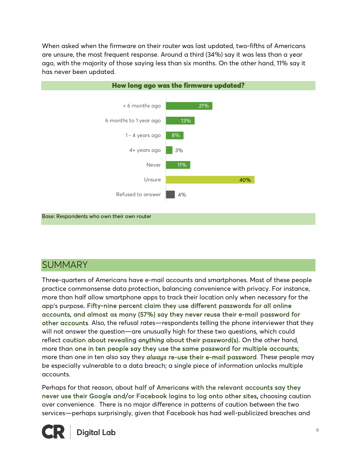When asked when the firmware on their router was last updated, two-fifths of Americans are unsure, the most frequent response. Around a third (34%) say it was less than a year ago, with the majority of those saying less than six months. On the other hand, 11% say it has never been updated.



Base: Respondents who own their own router

## **SUMMARY**

Three-quarters of Americans have e-mail accounts and smartphones. Most of these people practice commonsense data protection, balancing convenience with privacy. For instance, more than half allow smartphone apps to track their location only when necessary for the app's purpose. Fifty-nine percent claim they use different passwords for all online accounts, and almost as many (57%) say they never reuse their e-mail password for other accounts. Also, the refusal rates—respondents telling the phone interviewer that they will not answer the question—are unusually high for these two questions, which could reflect caution about revealing *anything* about their password(s). On the other hand, more than one in ten people say they use the same password for multiple accounts; more than one in ten also say they *always* re-use their e-mail password. These people may be especially vulnerable to a data breach; a single piece of information unlocks multiple accounts.

Perhaps for that reason, about half of Americans with the relevant accounts say they never use their Google and/or Facebook logins to log onto other sites, choosing caution over convenience. There is no major difference in patterns of caution between the two services—perhaps surprisingly, given that Facebook has had well-publicized breaches and